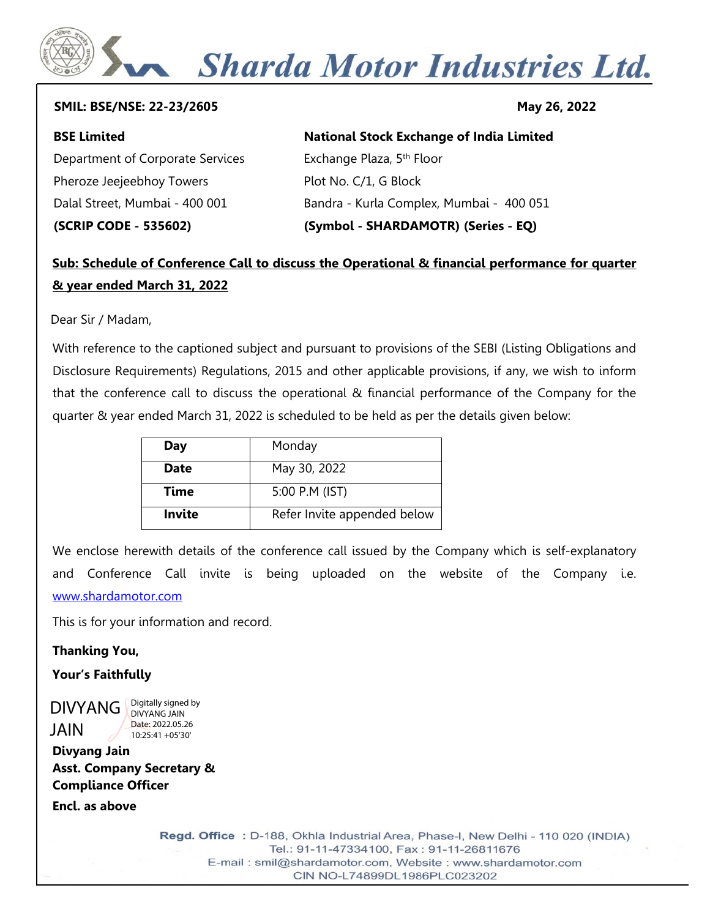# Sharda Motor Industries Ltd.

#### **SMIL: BSE/NSE: 22-23/2605 May 26, 2022**

#### **BSE Limited** Department of Corporate Services Pheroze Jeejeebhoy Towers Dalal Street, Mumbai - 400 001 **(SCRIP CODE - 535602) National Stock Exchange of India Limited**  Exchange Plaza, 5<sup>th</sup> Floor Plot No. C/1, G Block Bandra - Kurla Complex, Mumbai - 400 051 **(Symbol - SHARDAMOTR) (Series - EQ)**

### **Sub: Schedule of Conference Call to discuss the Operational & financial performance for quarter & year ended March 31, 2022**

Dear Sir / Madam,

With reference to the captioned subject and pursuant to provisions of the SEBI (Listing Obligations and Disclosure Requirements) Regulations, 2015 and other applicable provisions, if any, we wish to inform that the conference call to discuss the operational & financial performance of the Company for the quarter & year ended March 31, 2022 is scheduled to be held as per the details given below:

| Day         | Monday                      |
|-------------|-----------------------------|
| <b>Date</b> | May 30, 2022                |
| Time        | 5:00 P.M (IST)              |
| Invite      | Refer Invite appended below |

We enclose herewith details of the conference call issued by the Company which is self-explanatory and Conference Call invite is being uploaded on the website of the Company i.e. [www.shardamotor.com](http://www.shardamotor.com/)

This is for your information and record.

**Thanking You,**

**Your's Faithfully**

DIVYANG JAIN Digitally signed by DIVYANG JAIN Date: 2022.05.26 10:25:41 +05'30'

**Divyang Jain Asst. Company Secretary & Compliance Officer**

**Encl. as above**

Regd. Office : D-188, Okhla Industrial Area, Phase-I, New Delhi - 110 020 (INDIA) Tel.: 91-11-47334100, Fax: 91-11-26811676 E-mail: smil@shardamotor.com, Website: www.shardamotor.com CIN NO-L74899DL1986PLC023202